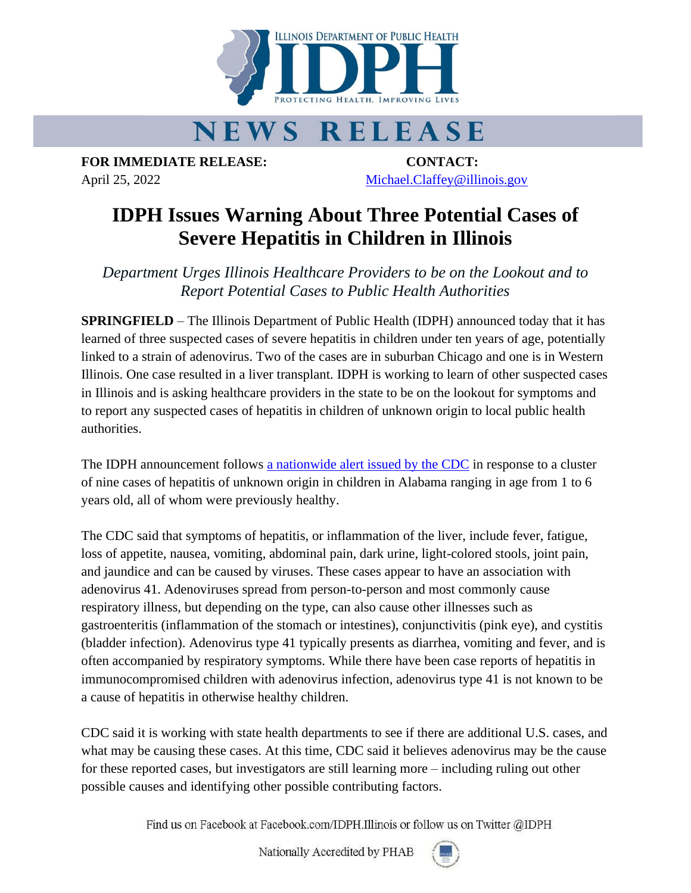

## **NEWS RELEASE**

**FOR IMMEDIATE RELEASE: CONTACT:** April 25, 2022 [Michael.Claffey@illinois.gov](mailto:Michael.Claffey@illinois.gov)

## **IDPH Issues Warning About Three Potential Cases of Severe Hepatitis in Children in Illinois**

*Department Urges Illinois Healthcare Providers to be on the Lookout and to Report Potential Cases to Public Health Authorities*

**SPRINGFIELD** – The Illinois Department of Public Health (IDPH) announced today that it has learned of three suspected cases of severe hepatitis in children under ten years of age, potentially linked to a strain of adenovirus. Two of the cases are in suburban Chicago and one is in Western Illinois. One case resulted in a liver transplant. IDPH is working to learn of other suspected cases in Illinois and is asking healthcare providers in the state to be on the lookout for symptoms and to report any suspected cases of hepatitis in children of unknown origin to local public health authorities.

The IDPH announcement follows [a nationwide alert issued by the CDC](https://www.cdc.gov/media/releases/2022/s0421-hepatitis-alert.html) in response to a cluster of nine cases of hepatitis of unknown origin in children in Alabama ranging in age from 1 to 6 years old, all of whom were previously healthy.

The CDC said that symptoms of hepatitis, or inflammation of the liver, include fever, fatigue, loss of appetite, nausea, vomiting, abdominal pain, dark urine, light-colored stools, joint pain, and jaundice and can be caused by viruses. These cases appear to have an association with adenovirus 41. Adenoviruses spread from person-to-person and most commonly cause respiratory illness, but depending on the type, can also cause other illnesses such as gastroenteritis (inflammation of the stomach or intestines), conjunctivitis (pink eye), and cystitis (bladder infection). Adenovirus type 41 typically presents as diarrhea, vomiting and fever, and is often accompanied by respiratory symptoms. While there have been case reports of hepatitis in immunocompromised children with adenovirus infection, adenovirus type 41 is not known to be a cause of hepatitis in otherwise healthy children.

CDC said it is working with state health departments to see if there are additional U.S. cases, and what may be causing these cases. At this time, CDC said it believes adenovirus may be the cause for these reported cases, but investigators are still learning more – including ruling out other possible causes and identifying other possible contributing factors.

Find us on Facebook at Facebook.com/IDPH.Illinois or follow us on Twitter @IDPH

Nationally Accredited by PHAB